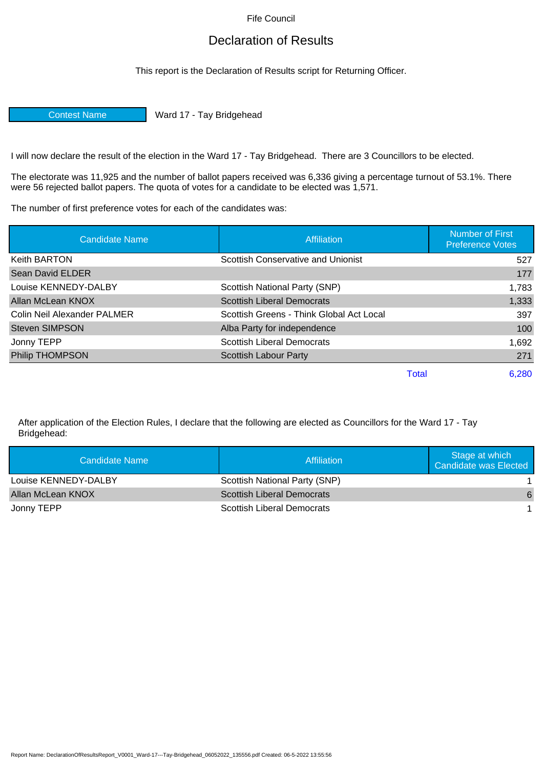Fife Council

## Declaration of Results

This report is the Declaration of Results script for Returning Officer.

Contest Name Ward 17 - Tay Bridgehead

I will now declare the result of the election in the Ward 17 - Tay Bridgehead. There are 3 Councillors to be elected.

The electorate was 11,925 and the number of ballot papers received was 6,336 giving a percentage turnout of 53.1%. There were 56 rejected ballot papers. The quota of votes for a candidate to be elected was 1,571.

The number of first preference votes for each of the candidates was:

| <b>Candidate Name</b>       | Affiliation                              | <b>Number of First</b><br><b>Preference Votes</b> |
|-----------------------------|------------------------------------------|---------------------------------------------------|
| <b>Keith BARTON</b>         | Scottish Conservative and Unionist       | 527                                               |
| <b>Sean David ELDER</b>     |                                          | 177                                               |
| Louise KENNEDY-DALBY        | Scottish National Party (SNP)            | 1,783                                             |
| Allan McLean KNOX           | <b>Scottish Liberal Democrats</b>        | 1,333                                             |
| Colin Neil Alexander PALMER | Scottish Greens - Think Global Act Local | 397                                               |
| <b>Steven SIMPSON</b>       | Alba Party for independence              | 100                                               |
| Jonny TEPP                  | <b>Scottish Liberal Democrats</b>        | 1,692                                             |
| <b>Philip THOMPSON</b>      | <b>Scottish Labour Party</b>             | 271                                               |
|                             | Total                                    | 6.280                                             |

After application of the Election Rules, I declare that the following are elected as Councillors for the Ward 17 - Tay Bridgehead:

| Candidate Name       | Affiliation                       | Stage at which<br>Candidate was Elected |
|----------------------|-----------------------------------|-----------------------------------------|
| Louise KENNEDY-DALBY | Scottish National Party (SNP)     |                                         |
| Allan McLean KNOX    | <b>Scottish Liberal Democrats</b> | 6                                       |
| Jonny TEPP           | Scottish Liberal Democrats        |                                         |